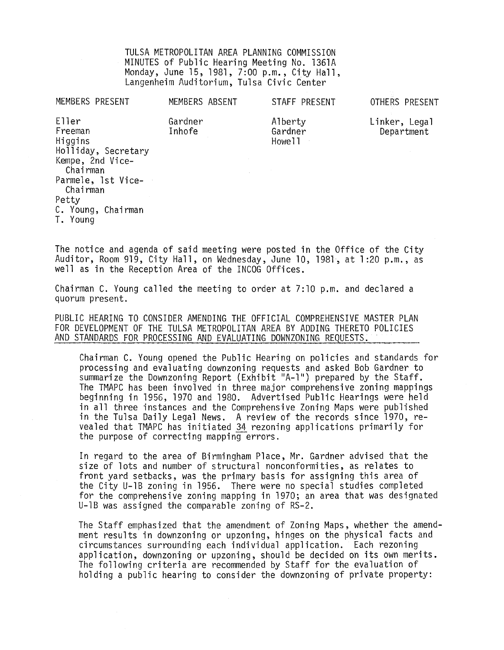TULSA METROPOLITAN AREA PLANNING COMMISSION MINUTES of Public Hearing Meeting No. 1361A Monday, June 15, 1981, 7:00 p.m., City Hall, Langenheim Auditorium, Tulsa Civic Center

MEMBERS PRESENT

#### MEMBERS ABSENT

Gardner Inhofe

#### STAFF PRESENT

Alberty Gardner Howell

OTHERS PRESENT

Linker, Legal Department

Eller Freeman Higgins Holliday, Secretary Kempe, 2nd Vice-Chairman Parmele, 1st Vice-Chairman Petty C. Young, Chairman T. Young

The notice and agenda of said meeting were posted in the Office of the City Auditor, Room 919, City Hall, on Wednesday, June 10, 1981, at 1 :20 p.m., as well as in the Reception Area of the INCOG Offices.

Chairman C. Young called the meeting to order at 7:10 p.m. and declared a quorum present.

PUBLIC HEARING TO CONSIDER AMENDING THE OFFICIAL COMPREHENSIVE MASTER PLAN FOR DEVELOPMENT OF THE TULSA METROPOLITAN AREA BY ADDING THERETO POLICIES AND STANDARDS FOR PROCESSING AND EVALUATING DOWNZONING REQUESTS.

Chairman C. Young opened the Public Hearing on policies and standards for processing and evaluating downzoning requests and asked Bob Gardner to summarize the Downzoning Report (Exhibit "A-l") prepared by the Staff. The TMAPC has been involved in three major comprehensive zoning mappings beginning in 1956, 1970 and 1980. Advertised Public Hearings were held in all three instances and the Comprehensive Zoning Maps were published in the Tulsa Daily Legal News. A review of the records since 1970, revealed that TMAPC has initiated 34 rezoning applications primarily for the purpose of correcting mapping-errors.

In regard to the area of Birmingham Place, Mr. Gardner advised that the size of lots and number of structural nonconformities, as relates to front yard setbacks, was the primary basis for assigning this area of the City U-1B zoning in 1956. There were no special studies completed for the comprehensive zoning mapping in 1970; an area that was designated U-1B was assigned the comparable zoning of RS-2.

The Staff emphasized that the amendment of Zoning Maps, whether the amendment results in downzoning or upzoning, hinges on the physical facts and circumstances surrounding each individual application. Each rezoning application, downzoning or upzoning, should be decided on its own merits. The following criteria are recommended by Staff for the evaluation of holding a public hearing to consider the downzoning of private property: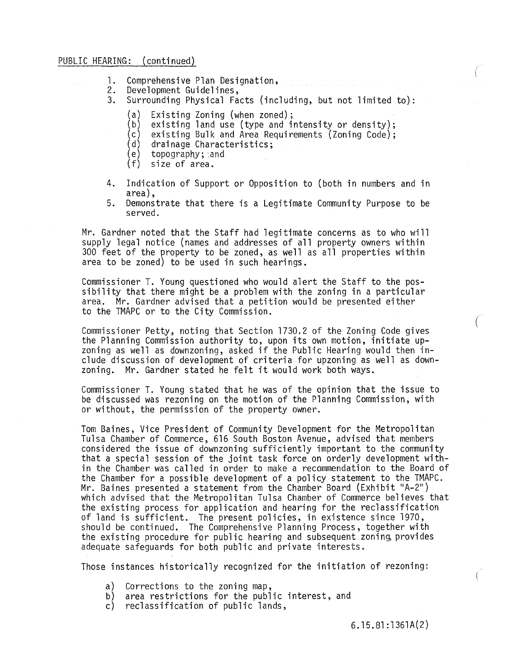- 1. Comprehensive Plan Designation,<br>2. Development Guidelines,<br>3. Surrounding Physical Facts (inc
- 
- Surrounding Physical Facts (including, but not limited to):
	- (a) Existing Zoning (when zoned);<br>(b) existing land use (type and i
	- (b) existing land use (type and intensity or density);<br>(c) existing Bulk and Area Requirements (Zoning Code):
	- (c) existing Bulk and Area Requirements (Zoning Code);<br>(d) drainage Characteristics:
	- (d) drainage Characteristics;<br>(e) topography; and
	- (e) topography; and<br>(f) size of area.
	- size of area.
- 4. Indication of Support or Opposition to (both in numbers and in area).
- 5. Demonstrate that there is a Legitimate Community Purpose to be served.

Mr. Gardner noted that the Staff had legitimate concerns as to who will supply legal notice (names and addresses of all property owners within 300 feet of the property to be zoned, as well as all properties within area to be zoned) to be used in such hearings.

Commissioner T. Young questioned who would alert the Staff to the possibility that there might be a problem with the zoning in a particular area. Mr. Gardner advised that a petition would be presented either to the TMAPC or to the City Commission.

Commissioner Petty, noting that Section 1730.2 of the Zoning Code gives<br>the Planning Commission authority to, upon its own motion, initiate upzoning as well as downzoning, asked if the Public Hearing would then include discussion of development of criteria for upzoning as well as downzoning. Mr. Gardner stated he felt it would work both ways.

Commissioner T. Young stated that he was of the opinion that the issue to be discussed was rezoning on the motion of the Planning Commission, with or without, the permission of the property owner.

Tom Baines, Vice President of Community Development for the Metropolitan Tulsa Chamber of Commerce, 616 South Boston Avenue, advised that members considered the issue of downzoning sufficiently important to the community that a special session of the joint task force on orderly development within the Chamber was called in order to make a recommendation to the Board of the Chamber for a possible development of a policy statement to the TMAPC. Mr. Baines presented a statement from the Chamber Board (Exhibit "A-2") which advised that the Metropolitan Tulsa Chamber of Commerce believes that the existing process for application and hearing for the reclassification of land is sufficient. The present policies, in existence since 1970, should be continued. The Comprehensive Planning Process, together with the existing procedure for public hearing and subsequent zoning provides adequate safeguards for both public and private interests.

Those instances historically recognized for the initiation of rezoning:

- a) Corrections to the zoning map,
- b) area restrictions for the public interest, and
- c) reclassification of public lands,

6.15.81 :1361A(2)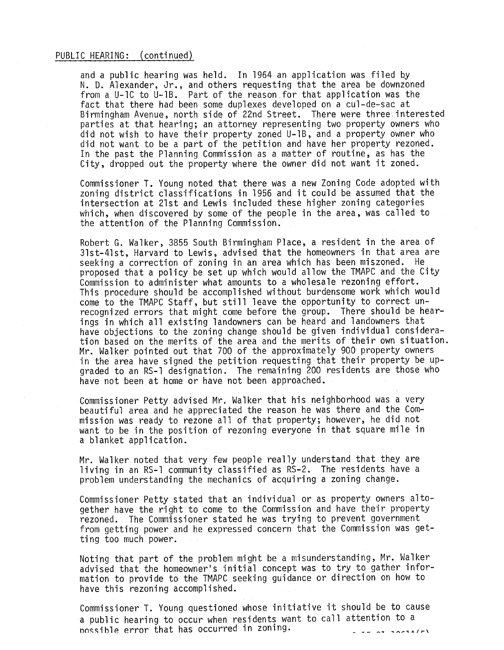and a public hearing was held. In 1964 an application was filed by N. D. Alexander, Jr., and others requesting that the area be downzoned from a U-1C to U-1B. Part of the reason.for that application was the fact that there had been some duplexes developed on a cul-de-sac at Birmingham Avenue, north side of 22nd Street. There were three interested parties at that hearing; an attorney representing two property owners who did not wish to have their property zoned U-1B, and a property owner who did not want to be a part of the petition and have her property rezoned. In the past the Planning Commission as a matter of routine, as has the City, dropped out the property where the owner did not want it zoned.

Commissioner T. Young noted that there was a new Zoning Code adopted with zoning district classifications in 1956 and it could be assumed that the intersection at 21st and Lewis included these higher zoning categories which, when discovered by some of the people in the area, was called to the attention of the Planning Commission.

Robert G. Walker, 3855 South Birmingham Place, a resident in the area of 31st-41st, Harvard to Lewis, advised that the homeowners in that area are seeking a correction of zoning in an area which has been miszoned. He proposed that a policy be set up which would allow the TMAPC and the City Commission to administer what amounts to a wholesale rezoning effort. This procedure should be accomplished without burdensome work which would come to the TMAPC Staff, but still leave the opportunity to correct unrecognized errors that might come before the group. There should be hearings in which all existing landowners can be heard and landowners that have objections to the zoning change should be given individual consideration based on the merits of the area and the merits of their own situation. Mr. Walker pointed out that 700 of the approximately 900 property owners in the area have signed the petition requesting that their property be up-<br>graded to an RS-1 designation. The remaining 200 residents are those who have not been at home or have not been approached.

Commissioner Petty advised Mr. Walker that his neighborhood was a very beautiful area and he appreciated the reason he was there and the Commission was ready to rezone all of that property; however, he did not want to be in the position of rezoning everyone in that square mile in a blanket application.

Mr. Walker noted that very few people really understand that they are living in an RS-l community classified as RS-2. The residents have a problem understanding the mechanics of acquiring a zoning change.

Commissioner Petty stated that an individual or as property owners altogether have the right to come to the Commission and have their property rezoned. The Commissioner stated he was trying to prevent government from getting power and he expressed concern that the Commission was getting too much power.

Noting that part of the problem might be a misunderstanding, Mr. Walker advised that the homeowner's initial concept was to try to gather information to provide to the TMAPC seeking guidance or direction on how to have this rezoning accomplished.

Commissioner T. Young questioned whose initiative it should be to cause a public hearing to occur when residents want to call attention to a nossible error that has occurred in zoning.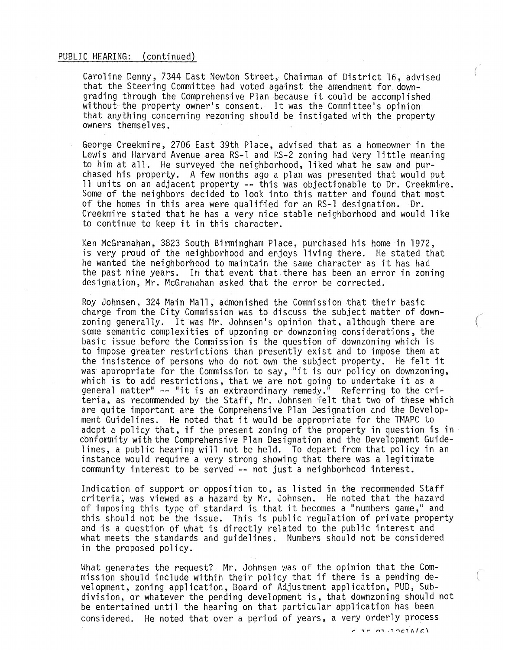Caroline Denny, 7344 East Newton Street, Chairman of District 16, advised that the Steering Committee had voted against the amendment for down-<br>grading through the Comprehensive Plan because it could be accomplished without the property owner's consent. It was the Committee's opinion that anything concerning rezoning should be instigated with the property owners themselves.

George Creekmire, 2706 East 39th Place, advised that as a homeowner in the Lewis and Harvard Avenue area RS-1 and RS-2 zoning had very little meaning to him at all. He surveyed the neighborhood, liked what he saw and purchased his property. A few months ago a plan was presented that would put 11 units on an adjacent property **--** this was objectionable to Dr. Creekmiire. Some of the neighbors decided to look into this matter and found that most of the homes in this area were qualified for an RS-1 designation. Dr. Creekmire stated that he has a very nice stable neighborhood and would like to continue to keep it in this character.

Ken McGranahan, 3823 South Birmingham Place, purchased his home in 1972, is very proud of the neighborhood and enjoys living there. He stated that he wanted the neighborhood to maintain the same character as it has had the past nine years. In that event that there has been an error in zoning designation, Mr. McGranahan asked that the error be corrected.

Roy Johnsen, 324 Main Mall, admonished the Commission that their basic charge from the City Commission was to discuss the subject matter of downzoning generally. It was Mr. Johnsen's opinion that, although there are ( some semantic complexities of upzoning or downzoning considerations, the basic issue before the Commission is the question of downzoning which is to impose greater restrictions than presently exist and to impose them at the insistence of persons who do not own the subject property. He felt it was appropriate for the Commission to say, "it is our policy on downzoning, which is to add restrictions, that we are not going to undertake it as a general matter" -- "it is an extraordinary remedy." Referring to the criteria, as recommended by the Staff, Mr. Johnsen felt that two of these which are quite important are the Comprehensive Plan Designation and the Development Guidelines. He noted that it would be appropriate for the TMAPC to adopt a policy that, if the present zoning of the property in question is in conformity with the Comprehensive Plan Designation and the Development Guidelines, a public hearing will not be held. To depart from that policy in an instance would require a very strong showing that there was a legitimate community interest to be served -- not just a neighborhood interest.

Indication of support or opposition to, as listed in the recommended Staff criteria, was viewed as a hazard by Mr. Johnsen. He noted that the hazard of imposing this type of standard is that it becomes a "numbers game," and this should not be the issue. This is public regulation of private property and is a question of what is directly related to the public interest and what meets the standards and guidelines. Numbers should not be considered in the proposed policy.

What generates the request? Mr. Johnsen was of the opinion that the Commission should include within their policy that if there is a pending development, zoning application, Board of Adjustment application, PUD, Subdivision, or whatever the pending development is, that downzoning should not be entertained until the hearing on that particular application has been considered. He noted that over a period of years, a very orderly process

 $C$  if  $O1.120116$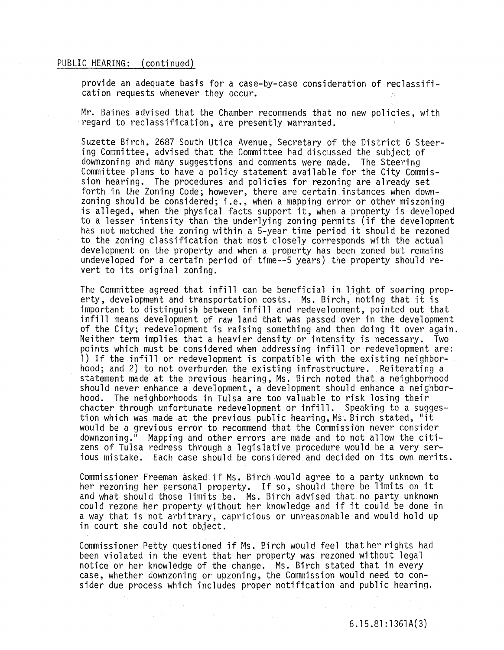provide an adequate basis for a case-by-case consideration of reclassification requests whenever they occur.

Mr. Baines advised that the Chamber recommends that no new policies, with regard to reclassification, are presently warranted.

Suzette Birch, 2687 South Utica Avenue, Secretary of the District 6 Steering Committee, advised that the Committee had discussed the subject of downzoning and many suggestions and comments were made. The Steering Committee plans to have a policy statement available for the City Commission hearing. The procedures and policies for rezoning are already set forth in the Zoning Code; however, there are certain instances when downzoning should be considered; i.e., when a mapping error or other miszoning is alleged, when the physical facts support it, when a property is developed to a lesser intensity than the underlying zoning permits (if the development has not matched the zoning within a 5-year time period it should be rezoned to the zoning classification that most closely corresponds with the actual development on the property and when a property has been zoned but remains undeveloped for a certain period of time--5 years) the property should revert to its original zoning.

The Committee agreed that infill can be beneficial in light of soaring property, development and transportation costs. Ms. Birch, noting that it is important to distinguish between infill and redevelopment, pointed out that infill means development of raw land that was passed over in the development of the City; redevelopment is raising something and then doing it over again. Neither term implies that a heavier density or intensity is necessary. Two points which must be considered when addressing infill or redevelopment are: 1) If the infill or redevelopment is compatible with the existing neighborhood; and 2) to not overburden the existing infrastructure. Reiterating a statement made at the previous hearing, Ms. Birch noted that a neighborhood should never enhance a development, a development should enhance a neighborhood. The neighborhoods in Tulsa are too valuable to risk losing their chacter through unfortunate redevelopment or infill. Speaking to a suggestion which was made at the previous public hearing, Ms. Birch stated, "it would be a grevious error to recommend that the Commission never consider downzoning." Mapping and other errors are made and to not allow the citizens of Tulsa redress through a legislative procedure would be a very serious mistake. Each case should be considered and decided on its own merits.

Commissioner Freeman asked if Ms. Birch would agree to a party unknown to her rezoning her personal property. If so, should there be limits on it and what should those limits be. Ms. Birch advised that no party unknown could rezone her property without her knowledge and if it could be done in a way that is not arbitrary, capricious or unreasonable and would hold up in court she could not object.

Commissioner Petty questioned if Ms. Birch would feel that her rights had been violated in the event that her property was rezoned without legal notice or her knowledge of the change. Ms. Birch stated that in every case, whether downzoning or upzoning, the Commission would need to consider due process which includes proper notification and public hearing.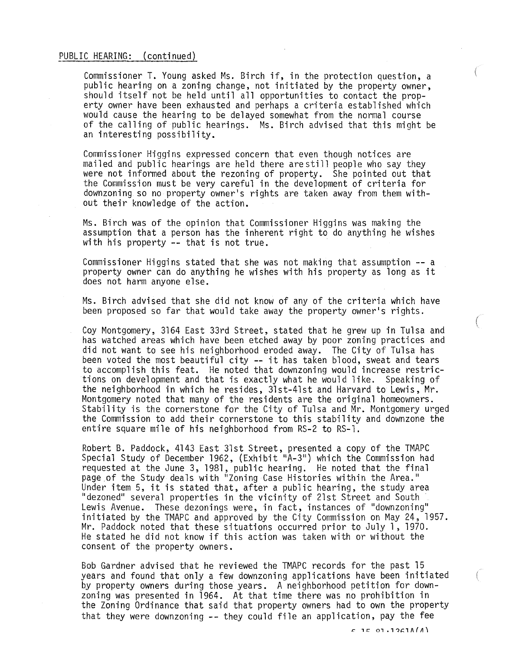Commissioner T. Young asked Ms. Birch if, in the protection question, a public hearing on a zoning change, not initiated by the property owner, should itself not be held until all opportunities to contact the property owner have been exhausted and perhaps a criteria established which would cause the hearing to be delayed somewhat from the normal course of the calling of public hearings. Ms. Birch advised that this might be an interesting possibility.

Commissioner Higgins expressed concern that even though notices are mailed and public hearings are held there are still people who say they were not informed about the rezoning of property. She pointed out that the Commission must be very careful in the development of criteria for downzoning so no property owner's rights are taken away from them without their knowledge of the action.

Ms. Birch was of the opinion that Commissioner Higgins was making the assumption that a person has the inherent right to do anything he wishes with his property **--** that is not true.

Commissioner Higgins stated that she was not making that assumption **--** a property owner can do anything he wishes with his property as long as it does not harm anyone else.

Ms. Birch advised that she did not know of any of the criteria which have been proposed so far that would take away the property owner's rights.

Coy Montgomery, 3164 East 33rd Street, stated that he grew up in Tulsa and has watched areas which have been etched away by poor zoning practices and did not want to see his neighborhood eroded away. The City of Tulsa has been voted the most beautiful city **--** it has taken blood, sweat and tears to accomplish this feat. He noted that downzoning would increase restrictions on development and that is exactly what he would like. Speaking of the neighborhood in which he resides, 31st-41st and Harvard to Lewis, Mr. Montgomery noted that many of the residents are the original homeowners. Stability is the cornerstone for the City of Tulsa and Mr. Montgomery urged the Commission to add their cornerstone to this stability and downzone the entire square mile of his neighborhood from RS-2 to RS-l.

Robert B. Paddock, 4143 East 31st Street, presented a copy of the TMAPC Special Study of December 1962, (Exhibit "A-3") which the Commission had requested at the June 3,1981, public hearing. He noted that the final page ,of the Study deals with "Zoning Case Histories within the Area." Under item 5, it is stated that, after a public hearing, the study area "dezoned" several properties in the vicinity of 21st Street and South· Lewis Avenue. These dezonings were, in fact, instances of "downzoning" initiated by the TMAPC and approved by the City Commission on May 24, 1957. Mr. Paddock noted that these situations occurred prior to July 1, 1970. He stated he did not know if this action was taken with or without the consent of the property owners.

Bob Gardner advised that he reviewed the TMAPC records for the past 15 years and found that only a few downzoning applications have been initiated by property owners during those years. A neighborhood petition for downzoning was presented in 1964. At that time there was no prohibition in the Zoning Ordinance that said that property owners had to own the property that they were downzoning **--** they could file an application, pay the fee

*C* 1E 01.12*GIA(A)*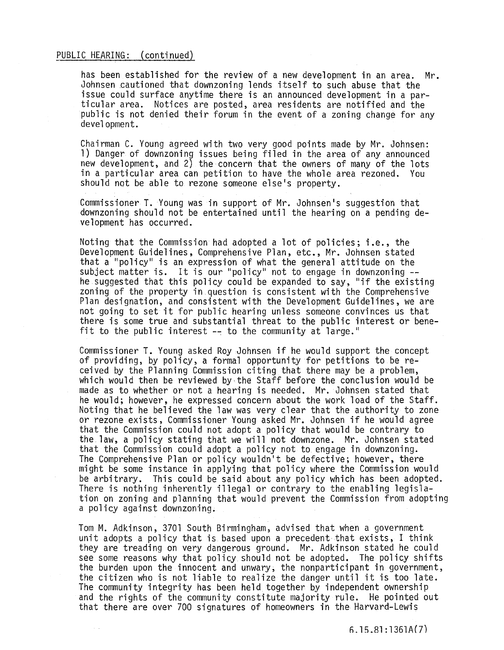has been established for the review of a new development in an area. Mr. Johnsen cautioned that downzoning lends itself to such abuse that the ticular area. Notices are posted, area residents are notified and the public is not denied their forum in the event of a zoning change for any development.

Chairman C. Young agreed with two very good points made by Mr. Johnsen: 1) Danger of downzoning issues being filed in the area of any announced new development, and 2) the concern that the owners of many of the lots in a particular area can petition to have the whole area rezoned. You should not be able to rezone someone else's property.

Commissioner T. Young was in support of Mr. Johnsen's suggestion that downzoning should not be entertained until the hearing on a pending development has occurred.

Noting that the Commission had adopted a lot of policies; i.e., the Development Guidelines, Comprehensive Plan, etc., Mr. Johnsen stated that a "policy" is an expression of what the general attitude on the subject matter is. It is our "policy" not to engage in downzoning -he suggested that this policy could be expanded to say, "if the existing zoning of the property in question is consistent with the Comprehensive<br>Plan designation, and consistent with the Development Guidelines, we are not going to set it for public hearing unless someone convinces us that there is some true and substantial threat to the public interest or benefit to the public interest  $-$ - to the community at large."

Commissioner T. Young asked Roy Johnsen if he would support the concept of providing, by policy, a formal opportunity for petitions to be received by the Planning Commission citing that there may be a problem, which would then be reviewed by the Staff before the conclusion would be made as to whether or not a hearing is needed. Mr. Johnsen stated that he would; however, he expressed concern about the work load of the Staff. Noting that he believed the law was very clear that the authority to zone or rezone exists, Commissioner Young asked Mr. Johnsen if he would agree that the Commission could not adopt a policy that would be contrary to the law, a policy stating that we will not downzone. Mr. Johnsen stated that the Commission could adopt a policy not to engage in downzoning. The Comprehensive Plan or policy wouldn't be defective; however, there might be some instance in applying that policy where the Commission would be arbitrary. This could be said about any policy which has been adopted. There is nothing inherently illegal or contrary to the enabling legislation on zoning and planning that would prevent the Commission from adopting a policy against downzoning.

Tom M. Adkinson, 3701 South Birmingham, advised that when a government unit adopts a policy that is based upon a precedent that exists, I think they are treading on very dangerous ground. Mr. Adkinson stated he could see some reasons why that policy should not be adopted. The policy shifts the burden upon the innocent and unwary, the nonparticipant in government, the citizen who is not liable to realize the danger until it is too late. The community integrity has been held together by independent ownership and the rights of the community constitute majority rule. He pointed out that there are over 700 signatures of homeowners in the Harvard-Lewis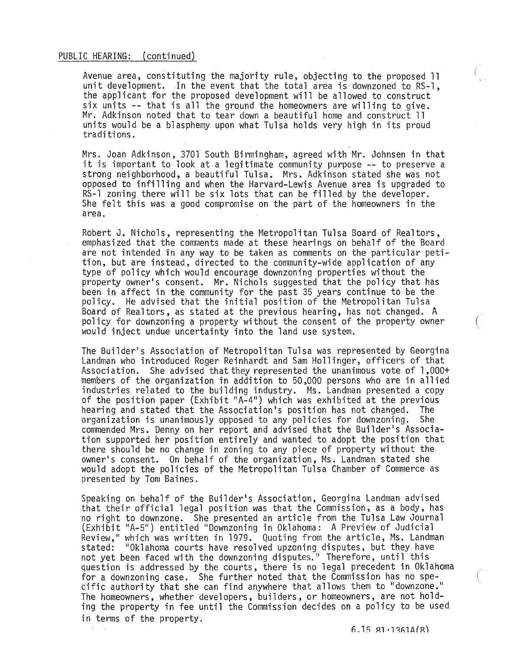Avenue area, constituting the majority rule, objecting to the proposed 11 unit development. In the event that the total area is downzoned to RS-l, the applicant for the proposed development will be allowed to construct six units -- that is all the ground the homeowners are willing to give. Mr. Adkinson noted that to tear down a beautiful home and construct 11 units would be a blasphemy upon what Tulsa holds very high in its proud traditions.

Mrs. Joan Adkinson, 3701 South Birmingham, agreed with Mr. Johnsen in that it is important to look at.a legitimate community purpose -- to preserve a strong neighborhood, a beautiful Tulsa. Mrs. Adkinson stated she was not opposed to infilling and when the Harvard-Lewis Avenue area is upgraded to RS-l zoning there will be six lots that can be filled by the developer. She felt this was a good compromise on the part of the homeowners in the area.

Robert J. Nichols, representing the Metropolitan Tulsa Board of Realtors, emphasized that the comments made at these hearings on behalf of the Board are not intended in any way to be taken as comments on the particular petition, but are instead, directed to the community-wide application of any type of policy which would encourage downzoning properties without the property owner's consent. Mr. Nichols suggested that the policy that has been in affect in the community for the past 35 years continue to be the policy. He advised that the initial position of the Metropolitan Tulsa Board of Realtors, as stated at the previous hearing, has not changed. A policy for downzoning a property without the consent of the property owner would inject undue uncertainty into the land use system.

The Builder's Association of Metropolitan Tulsa was represented by Georgina Landman who introduced Roger Reinhardt and Sam Hollinger, officers of that Association. She advised that they represented the unanimous vote of 1,000+ members of the organization in addition to 50,000 persons who are in allied industries related to the building industry. Ms. Landman presented a copy of the position paper (Exhibit IA-4") which was exhibited at the previous hearing and stated that the Association's position has not changed. The organization is unanimously opposed to any policies for downzoning. She commended Mrs. Denny on her report and advised that the Builder's Association supported her position entirely and wanted to adopt the position that there should be no change in zoning to any piece of property without the owner's consent. On behalf of the organization, Ms. Landman stated she would adopt the policies of the Metropolitan Tulsa Chamber of Commerce as presented by Tom Baines.

Speaking on behalf of the Builder's Association, Georgina Landman advised that their official legal position was that the Commission, as a body, has no right to downzone. She presented an article from the Tulsa Law Journal (Exhibit IA-5") entitled "Downzoning in Oklahoma: A Preview of Judicial Review," which was written in 1979. Quoting from the article, Ms. Landman stated: "0klahoma courts have resolved upzoning disputes, but they have not yet been faced with the downzoning disputes;" Therefore, until this question is addressed by the courts, there is no legal precedent in Oklahoma<br>for a downzoning case. She further noted that the Commission has no specific authority that she can find anywhere that allows them to "downzone." The homeowners, whether developers, builders, or homeowners, are not holding the property in fee until the Commission decides on a policy to be used in terms of the property.

 $6.15$   $81 \cdot 13614(8)$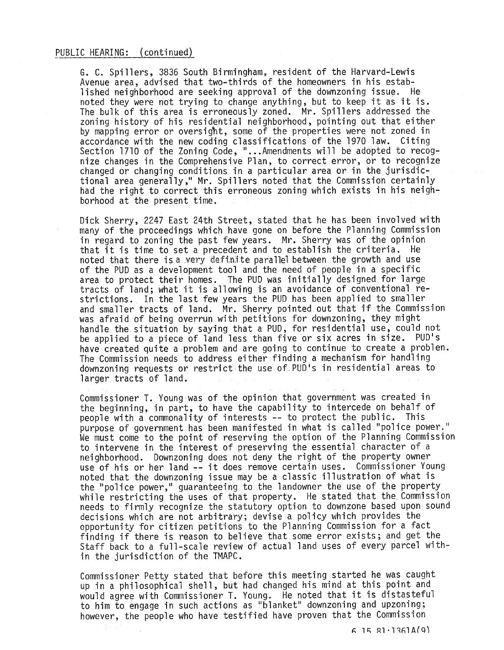G. C. Spillers, 3836 South Birmingham,. resident of the Harvard-Lewis Avenue area, advised that two-thirds of the homeowners in his established neighborhood are seeking approval of the downzoning issue. He noted they were not trying to change anything, but to keep it as it is. The bulk of this area is erroneously zoned. Mr. Spillers addressed the zoning history of his residential neighborhood, pointing out that either by mapping error or oversight, some of the properties were not zoned in accordance with the new coding classifications of the 1970 law. Citing Section 1710 of the Zoning Code, "... Amendments will be adopted to recognize changes in the Comprehensive Plan, to correct error, or to recognize changed or changing conditions in a particular area or in the jurisdic-<br>tional area generally," Mr. Spillers noted that the Commission certainly had the right to correct this erroneous zoning which exists in his neighborhood at the present time.

Dick Sherry, 2247 East 24th Street, stated that he has been involved with many of the proceedings which have gone on before the Planning Commission in regard to zoning the past few years. Mr. Sherry was of the opinion that it is time to set a precedent and to establish the criteria. He noted that there is a very definite parallel between the growth and use of the PUD as a development tool and the need of people in a specific area to protect their homes. The PUD was initially designed for large tracts of land; what it is allowing is an avoidance of conventional restrictions. In the last few years the PUD has been applied to smaller and smaller tracts of land. Mr. Sherry pointed out that if the Commission was afraid of being overrun with petitions for downzoning, they might handle the situation by saying that a PUD, for residential use, could not be applied to a piece of land less than five or six acres in size. PUD's have created quite a problem and are going to continue to create a problen. The Commission needs to address either finding a mechanism for handling downzoning requests or restrict the use of PUD's in residential areas to larger tracts of land.

Commissioner T. Young was of the opinion that government was created in the beginning, in part, to have the capability to intercede on behalf of people with a commonality of interests **--** to protect the public. This purpose of government has been manifested in what is called "police power." We must come to the point of reserving the option of the Planning Commission to intervene in the interest of preserving the essential character of a neighborhood. Downzoning does not deny the right of the property owner use of his or her land **--** it does remove certain uses. Commissioner Young noted that the downzoning issue may be a classic illustration of what is the "police power," quaranteeing to the landowner the use of the property while restricting the uses of that property. He stated that the. Commission needs to firmly recognize the statutory option to downzone based upon sound decisions which are not arbitrary; devise a policy which provides the opportunity for citizen petitions to the Planning Commission for a fact finding if there is reason to believe that some error exists; and get the Staff back to a full-scale review of actual land uses of every parcel within the jurisdiction of the TMAPC.

Commissioner Petty stated that before this meeting started he was caught up in a philosophical shell, but had changed his mind at this point and would agree with Commissioner T. Young. He noted that it is distasteful to him to engage in such actions as "blanket" downzoning and upzoning; however, the people who have testified have proven that the Commission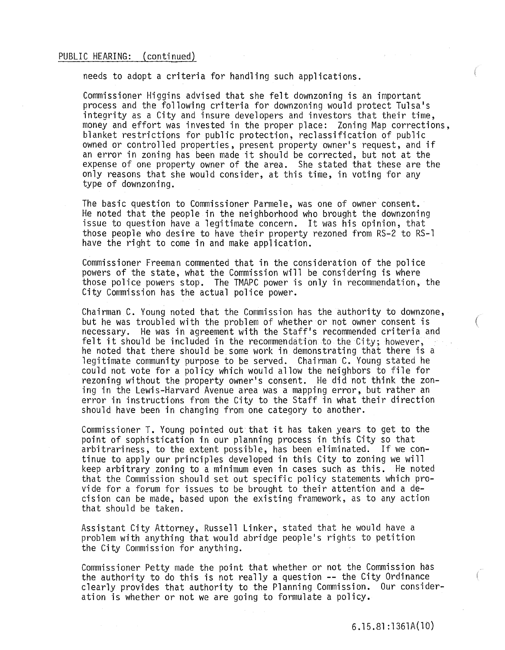needs to adopt a criteria for handling such applications.

Commissioner Higgins advised that she felt downzoning is an important process and the following criteria for downzoning would protect Tulsa's integrity as a City and insure developers and investors that their time, money and effort was invested in the proper place: Zoning Map corrections, blanket restrictions for public protection, reclassification of public owned or controlled properties, present property owner's request, and if an error in zoning has been made it should be corrected, but not at the expense of one property owner of the area. She stated that these are the only reasons that she would consider, at this time, in voting for any type of downzoning.

The basic question to Commissioner Parmele, was one of owner consent. He noted that the people in the neighborhood who brought the downzoning issue to question have a legitimate concern. It was his opinion, that those people who desire to have their property rezoned from RS-2 to RS-l have the right to come in and make application.

Commissioner Freeman commented that in the consideration of the police powers of the state, what the Commission will be considering is where those police powers stop. The TMAPC power is only in recommendation, the City Commission has the actual police power.

Chairman C. Young noted that the Commission has the authority to downzone, but he was troubled with the problem of whether or not owner consent is necessary. He was in agreement with the Staff's recommended criteria and felt it should be included in the recommendation to the City; however, he noted that there should be some work in demonstrating that there is a legitimate community purpose to be served. Chairman C. Young stated he could not vote for a policy which would allow the neighbors to file for rezoning without the property owner's consent. He did not think the zoning in the Lewis-Harvard Avenue area was a mapping error, but rather an error in instructions from the City to the Staff in what their direction should have been in changing from one category to another.

Commissioner T. Young pointed out that it has taken years to get to the point of sophistication in our planning process in this City so that arbitrariness, to the extent possible, has been eliminated. If we continue to apply our principles developed in this City to zoning we will keep arbitrary zoning to a minimum even in cases such as this. He noted that the Commission should set out specific policy statements which provide for a forum for issues to be brought to their attention and a decision can be made, based upon the existing framework, as to any action that should be taken.

Assistant City Attorney, Russell Linker, stated that he would have a problem with anything that would abridge people's rights to petition the City Commission for anything.

Commissioner Petty made the point that whether or not the Commission has the authority to do this is not really a question **--** the City Ordinance clearly provides that authority to the Planning Commission. Our consideration is whether or not we are going to formulate a policy.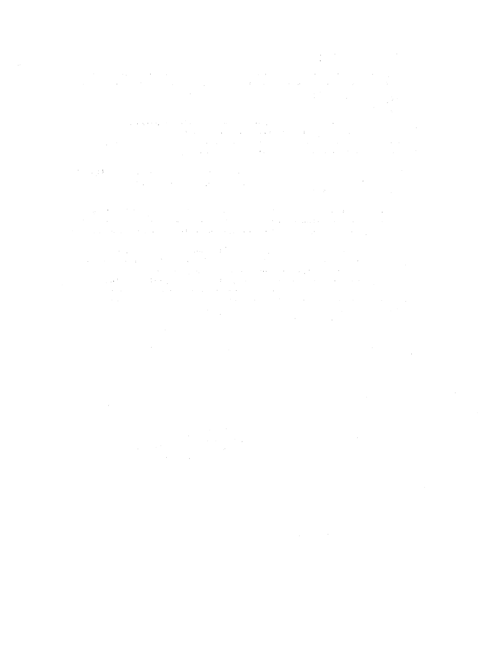$\label{eq:2} \begin{split} \mathcal{L}^{(1)}_{\text{max}}(\mathbf{r}) & = \mathcal{L}^{(1)}_{\text{max}}(\mathbf{r}) \mathcal{L}^{(1)}_{\text{max}}(\mathbf{r}) \\ & = \mathcal{L}^{(1)}_{\text{max}}(\mathbf{r}) \mathcal{L}^{(1)}_{\text{max}}(\mathbf{r}) \mathcal{L}^{(1)}_{\text{max}}(\mathbf{r}) \mathcal{L}^{(1)}_{\text{max}}(\mathbf{r}) \mathcal{L}^{(1)}_{\text{max}}(\mathbf{r}) \mathcal{L}^{(1)}_{\text{max}}(\mathbf{r}) \mathcal{L$ 

 $\label{eq:2.1} \frac{1}{\sqrt{2}}\int_{0}^{\infty}\frac{1}{\sqrt{2\pi}}\left(\frac{1}{\sqrt{2\pi}}\right)^{2}d\mu_{\rm{eff}}\,d\mu_{\rm{eff}}$ 

 $\sim 10^{-10}$ 

 $\label{eq:2.1} \frac{1}{\sqrt{2\pi}}\int_{0}^{\infty}\frac{1}{\sqrt{2\pi}}\int_{0}^{\infty}\frac{1}{\sqrt{2\pi}}\int_{0}^{\infty}\frac{1}{\sqrt{2\pi}}\int_{0}^{\infty}\frac{1}{\sqrt{2\pi}}\int_{0}^{\infty}\frac{1}{\sqrt{2\pi}}\int_{0}^{\infty}\frac{1}{\sqrt{2\pi}}\int_{0}^{\infty}\frac{1}{\sqrt{2\pi}}\int_{0}^{\infty}\frac{1}{\sqrt{2\pi}}\int_{0}^{\infty}\frac{1}{\sqrt{2\pi}}\int_{0}^{\infty}\$ 

 $\mathcal{L}^{\text{max}}_{\text{max}}$